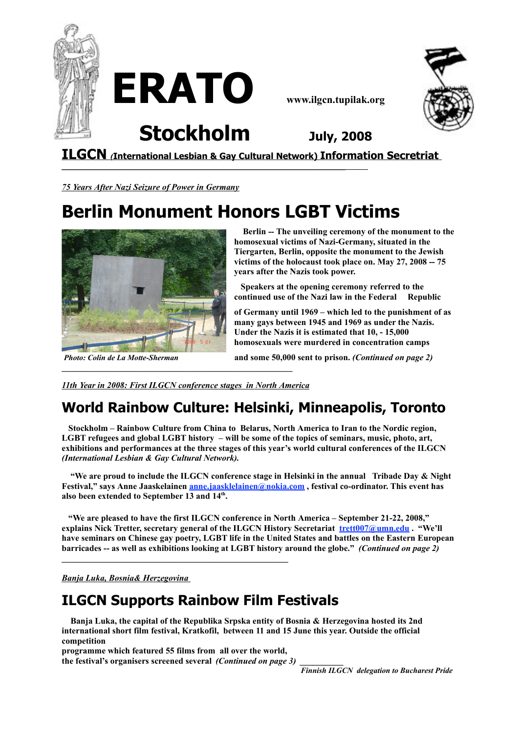





**Stockholm July, <sup>2008</sup>**

**\_\_\_\_\_\_\_\_\_\_\_\_\_\_\_\_\_\_\_\_\_\_\_\_\_\_\_\_\_\_\_\_\_\_\_\_\_\_\_\_\_\_\_\_\_\_\_\_\_\_\_\_\_\_\_\_\_\_\_\_\_\_\_\_**

**ILGCN** *(***International Lesbian & Gay Cultural Network) Information Secretriat**

*75 Years After Nazi Seizure of Power in Germany*

# **Berlin Monument Honors LGBT Victims**



**Berlin -- The unveiling ceremony of the monument to the homosexual victims of Nazi-Germany, situated in the Tiergarten, Berlin, opposite the monument to the Jewish victims of the holocaust took place on. May 27, 2008 -- 75 years after the Nazis took power.**

**Speakers at the opening ceremony referred to the continued use of the Nazi law in the Federal Republic**

**of Germany until 1969 – which led to the punishment of as many gays between 1945 and 1969 as under the Nazis. Under the Nazis it is estimated that 10, - 15,000 homosexuals were murdered in concentration camps**

*Photo: Colin de La Motte-Sherman* **and some 50,000 sent to prison.** *(Continued on page 2)*

*11th Year in 2008: First ILGCN conference stages in North America*

**\_\_\_\_\_\_\_\_\_\_\_\_\_\_\_\_\_\_\_\_\_\_\_\_\_\_\_\_\_\_\_\_\_\_\_\_\_\_\_\_\_\_\_\_\_\_\_\_\_\_\_\_\_**

# **World Rainbow Culture: Helsinki, Minneapolis, Toronto**

**Stockholm – Rainbow Culture from China to Belarus, North America to Iran to the Nordic region, LGBT refugees and global LGBT history – will be some of the topics of seminars, music, photo, art, exhibitions and performances at the three stages of this year's world cultural conferences of the ILGCN** *(International Lesbian & Gay Cultural Network).*

**"We are proud to include the ILGCN conference stage in Helsinki in the annual Tribade Day & Night Festival," says Anne Jaaskelainen [anne.jaasklelainen@nokia.com](mailto:anne.jaasklelainen@nokia.com) , festival co-ordinator. This event has also been extended to September 13 and 14th .**

**"We are pleased to have the first ILGCN conference in North America – September 21-22, 2008," explains Nick Tretter, secretary general of the ILGCN History Secretariat [trett007@umn.edu](mailto:trett007@umn.edu) . "We'll** have seminars on Chinese gay poetry, LGBT life in the United States and battles on the Eastern European **barricades -- as well as exhibitions looking at LGBT history around the globe."** *(Continued on page 2)*

*Banja Luka, Bosnia& Herzegovina*

# **ILGCN Supports Rainbow Film Festivals**

**Banja Luka, the capital of the Republika Srpska entity of Bosnia & Herzegovina hosted its 2nd international short film festival, Kratkofil, between 11 and 15 June this year. Outside the official competition**

**programme which featured 55 films from all over the world,**

**the festival's organisers screened several** *(Continued on page 3) \_\_\_\_\_\_\_\_\_\_*

*Finnish ILGCN delegation to Bucharest Pride*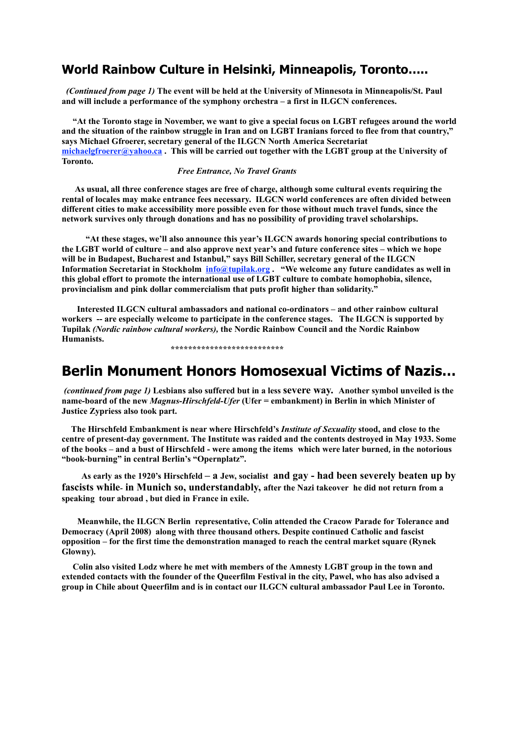### **World Rainbow Culture in Helsinki, Minneapolis, Toronto…..**

*(Continued from page 1)* **The event will be held at the University of Minnesota in Minneapolis/St. Paul and will include a performance of the symphony orchestra – a first in ILGCN conferences.**

"At the Toronto stage in November, we want to give a special focus on LGBT refugees around the world and the situation of the rainbow struggle in Iran and on LGBT Iranians forced to flee from that country," **says Michael Gfroerer, secretary general of the ILGCN North America Secretariat [michaelgfroerer@yahoo.ca](mailto:michaelgfroerer@yahoo.ca) . This will be carried out together with the LGBT group at the University of Toronto.**

#### *Free Entrance, No Travel Grants*

**As usual, all three conference stages are free of charge, although some cultural events requiring the rental of locales may make entrance fees necessary. ILGCN world conferences are often divided between different cities to make accessibility more possible even for those without much travel funds, since the network survives only through donations and has no possibility of providing travel scholarships.**

**"At these stages, we'll also announce this year's ILGCN awards honoring special contributions to** the LGBT world of culture – and also approve next year's and future conference sites – which we hope **will be in Budapest, Bucharest and Istanbul," says Bill Schiller, secretary general of the ILGCN Information Secretariat in Stockholm [info@tupilak.org](mailto:info@tupilak.org) . "We welcome any future candidates as well in this global effort to promote the international use of LGBT culture to combate homophobia, silence, provincialism and pink dollar commercialism that puts profit higher than solidarity."**

**Interested ILGCN cultural ambassadors and national co-ordinators – and other rainbow cultural workers -- are especially welcome to participate in the conference stages. The ILGCN is supported by Tupilak** *(Nordic rainbow cultural workers),* **the Nordic Rainbow Council and the Nordic Rainbow Humanists.**

**\*\*\*\*\*\*\*\*\*\*\*\*\*\*\*\*\*\*\*\*\*\*\*\*\*\***

### **Berlin Monument Honors Homosexual Victims of Nazis…**

(continued from page 1) Lesbians also suffered but in a less severe way. Another symbol unveiled is the **name-board of the new** *Magnus-Hirschfeld-Ufer* **(Ufer = embankment) in Berlin in which Minister of Justice Zypriess also took part.**

**The Hirschfeld Embankment is near where Hirschfeld's** *Institute of Sexuality* **stood, and close to the centre of present-day government. The Institute was raided and the contents destroyed in May 1933. Some** of the books – and a bust of Hirschfeld - were among the items which were later burned, in the notorious **"book-burning" in central Berlin's "Opernplatz".**

As early as the 1920's Hirschfeld – a Jew, socialist and gay - had been severely beaten up by **fascists while***-* **in Munich so, understandably, after the Nazi takeover he did not return from a speaking tour abroad , but died in France in exile.**

**Meanwhile, the ILGCN Berlin representative, Colin attended the Cracow Parade for Tolerance and Democracy (April 2008) along with three thousand others. Despite continued Catholic and fascist opposition – for the first time the demonstration managed to reach the central market square (Rynek Glowny).**

**Colin also visited Lodz where he met with members of the Amnesty LGBT group in the town and** extended contacts with the founder of the Queerfilm Festival in the city, Pawel, who has also advised a **group in Chile about Queerfilm and is in contact our ILGCN cultural ambassador Paul Lee in Toronto.**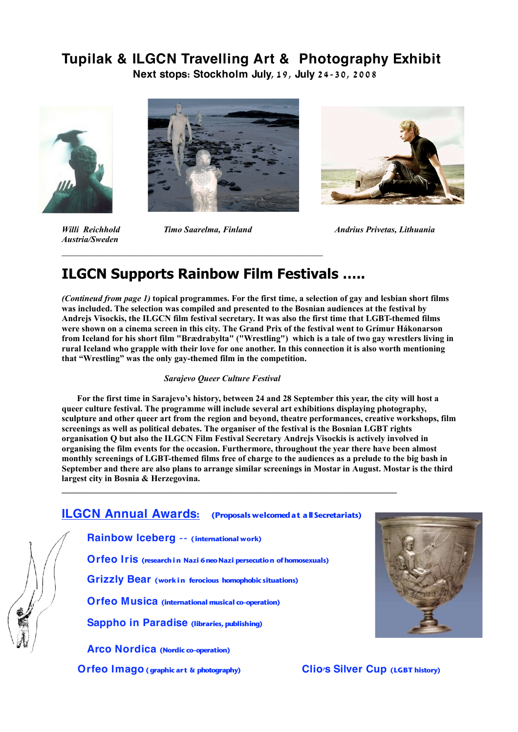## **Tupilak & ILGCN Travelling Art & Photography Exhibit**

**Next stops: Stockholm July, 1 9, July 2 4-3 0, 2 0 0 8**



*Austria/Sweden*

 $\mathcal{L}_\mathcal{L}$  , and the set of the set of the set of the set of the set of the set of the set of the set of the set of the set of the set of the set of the set of the set of the set of the set of the set of the set of th



*Willi Reichhold Timo Saarelma, Finland Andrius Privetas, Lithuania*

# **ILGCN Supports Rainbow Film Festivals …..**

(Contineud from page 1) topical programmes. For the first time, a selection of gay and lesbian short films **was included. The selection was compiled and presented to the Bosnian audiences at the festival by Andrejs Visockis, the ILGCN film festival secretary. It was also the first time that LGBT-themed films** were shown on a cinema screen in this city. The Grand Prix of the festival went to Grímur Hákonarson from Iceland for his short film "Brædrabylta" ("Wrestling") which is a tale of two gay wrestlers living in rural Iceland who grapple with their love for one another. In this connection it is also worth mentioning **that "Wrestling" was the only gay-themed film in the competition.**

#### *Sarajevo Queer Culture Festival*

For the first time in Sarajevo's history, between 24 and 28 September this year, the city will host a **queer culture festival. The programme will include several art exhibitions displaying photography, sculpture and other queer art from the region and beyond, theatre performances, creative workshops, film screenings as well as political debates. The organiser of the festival is the Bosnian LGBT rights organisation Q but also the ILGCN Film Festival Secretary Andrejs Visockis is actively involved in organising the film events for the occasion. Furthermore, throughout the year there have been almost** monthly screenings of LGBT-themed films free of charge to the audiences as a prelude to the big bash in September and there are also plans to arrange similar screenings in Mostar in August. Mostar is the third **largest city in Bosnia & Herzegovina.**

### **ILGCN Annual Awards: (Proposals welcomedat allSecretariats)**

**\_\_\_\_\_\_\_\_\_\_\_\_\_\_\_\_\_\_\_\_\_\_\_\_\_\_\_\_\_\_\_\_\_\_\_\_\_\_\_\_\_\_\_\_\_\_\_\_\_\_\_\_\_\_\_\_\_\_\_\_\_\_\_\_\_\_\_\_\_\_\_\_\_\_\_\_\_**

**Rainbow Iceberg -- (international work)**

**Orfeo Iris (researchin Nazi 6neoNazi persecution ofhomosexuals)**

**Grizzly Bear (work in ferocious homophobic situations)**

**Orfeo Musica (international musical co-operation)**

**Sappho in Paradise (libraries,publishing)**

**Arco Nordica (Nordic co-operation)**

**Orfeo Imago (graphic art & photography) Clio's Silver Cup (LGBT history)**